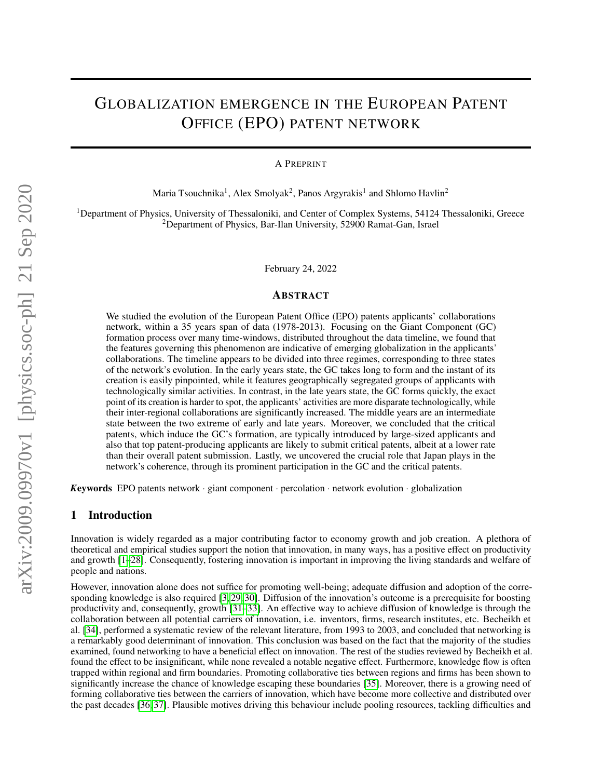# GLOBALIZATION EMERGENCE IN THE EUROPEAN PATENT OFFICE (EPO) PATENT NETWORK

A PREPRINT

Maria Tsouchnika<sup>1</sup>, Alex Smolyak<sup>2</sup>, Panos Argyrakis<sup>1</sup> and Shlomo Havlin<sup>2</sup>

<sup>1</sup>Department of Physics, University of Thessaloniki, and Center of Complex Systems, 54124 Thessaloniki, Greece <sup>2</sup>Department of Physics, Bar-Ilan University, 52900 Ramat-Gan, Israel

February 24, 2022

#### ABSTRACT

We studied the evolution of the European Patent Office (EPO) patents applicants' collaborations network, within a 35 years span of data (1978-2013). Focusing on the Giant Component (GC) formation process over many time-windows, distributed throughout the data timeline, we found that the features governing this phenomenon are indicative of emerging globalization in the applicants' collaborations. The timeline appears to be divided into three regimes, corresponding to three states of the network's evolution. In the early years state, the GC takes long to form and the instant of its creation is easily pinpointed, while it features geographically segregated groups of applicants with technologically similar activities. In contrast, in the late years state, the GC forms quickly, the exact point of its creation is harder to spot, the applicants' activities are more disparate technologically, while their inter-regional collaborations are significantly increased. The middle years are an intermediate state between the two extreme of early and late years. Moreover, we concluded that the critical patents, which induce the GC's formation, are typically introduced by large-sized applicants and also that top patent-producing applicants are likely to submit critical patents, albeit at a lower rate than their overall patent submission. Lastly, we uncovered the crucial role that Japan plays in the network's coherence, through its prominent participation in the GC and the critical patents.

*K*eywords EPO patents network · giant component · percolation · network evolution · globalization

## <span id="page-0-0"></span>1 Introduction

Innovation is widely regarded as a major contributing factor to economy growth and job creation. A plethora of theoretical and empirical studies support the notion that innovation, in many ways, has a positive effect on productivity and growth [\[1](#page-12-0)[–28\]](#page-13-0). Consequently, fostering innovation is important in improving the living standards and welfare of people and nations.

However, innovation alone does not suffice for promoting well-being; adequate diffusion and adoption of the corresponding knowledge is also required [\[3,](#page-12-1) [29,](#page-13-1) [30\]](#page-13-2). Diffusion of the innovation's outcome is a prerequisite for boosting productivity and, consequently, growth [\[31–](#page-13-3)[33\]](#page-13-4). An effective way to achieve diffusion of knowledge is through the collaboration between all potential carriers of innovation, i.e. inventors, firms, research institutes, etc. Becheikh et al. [\[34\]](#page-13-5), performed a systematic review of the relevant literature, from 1993 to 2003, and concluded that networking is a remarkably good determinant of innovation. This conclusion was based on the fact that the majority of the studies examined, found networking to have a beneficial effect on innovation. The rest of the studies reviewed by Becheikh et al. found the effect to be insignificant, while none revealed a notable negative effect. Furthermore, knowledge flow is often trapped within regional and firm boundaries. Promoting collaborative ties between regions and firms has been shown to significantly increase the chance of knowledge escaping these boundaries [\[35\]](#page-13-6). Moreover, there is a growing need of forming collaborative ties between the carriers of innovation, which have become more collective and distributed over the past decades [\[36,](#page-13-7) [37\]](#page-13-8). Plausible motives driving this behaviour include pooling resources, tackling difficulties and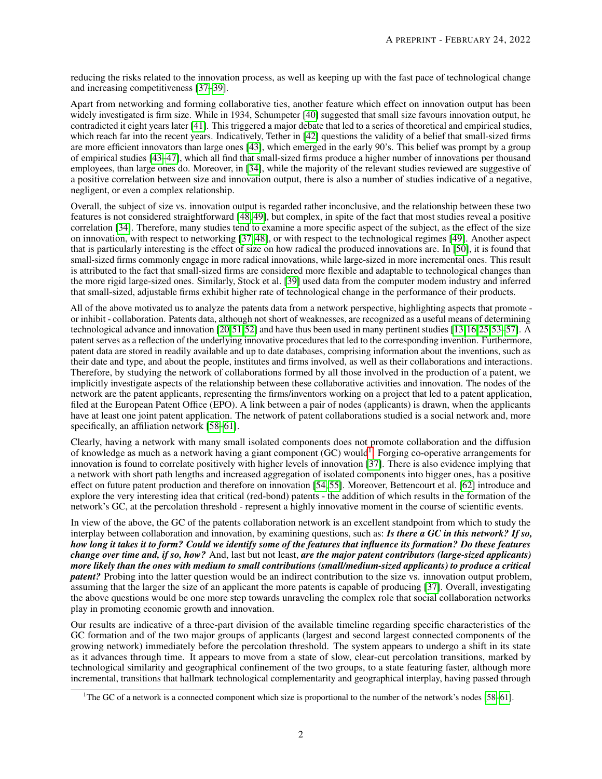reducing the risks related to the innovation process, as well as keeping up with the fast pace of technological change and increasing competitiveness [\[37–](#page-13-8)[39\]](#page-13-9).

Apart from networking and forming collaborative ties, another feature which effect on innovation output has been widely investigated is firm size. While in 1934, Schumpeter [\[40\]](#page-13-10) suggested that small size favours innovation output, he contradicted it eight years later [\[41\]](#page-13-11). This triggered a major debate that led to a series of theoretical and empirical studies, which reach far into the recent years. Indicatively, Tether in [\[42\]](#page-13-12) questions the validity of a belief that small-sized firms are more efficient innovators than large ones [\[43\]](#page-13-13), which emerged in the early 90's. This belief was prompt by a group of empirical studies [\[43–](#page-13-13)[47\]](#page-14-0), which all find that small-sized firms produce a higher number of innovations per thousand employees, than large ones do. Moreover, in [\[34\]](#page-13-5), while the majority of the relevant studies reviewed are suggestive of a positive correlation between size and innovation output, there is also a number of studies indicative of a negative, negligent, or even a complex relationship.

Overall, the subject of size vs. innovation output is regarded rather inconclusive, and the relationship between these two features is not considered straightforward [\[48,](#page-14-1) [49\]](#page-14-2), but complex, in spite of the fact that most studies reveal a positive correlation [\[34\]](#page-13-5). Therefore, many studies tend to examine a more specific aspect of the subject, as the effect of the size on innovation, with respect to networking [\[37,](#page-13-8) [48\]](#page-14-1), or with respect to the technological regimes [\[49\]](#page-14-2). Another aspect that is particularly interesting is the effect of size on how radical the produced innovations are. In [\[50\]](#page-14-3), it is found that small-sized firms commonly engage in more radical innovations, while large-sized in more incremental ones. This result is attributed to the fact that small-sized firms are considered more flexible and adaptable to technological changes than the more rigid large-sized ones. Similarly, Stock et al. [\[39\]](#page-13-9) used data from the computer modem industry and inferred that small-sized, adjustable firms exhibit higher rate of technological change in the performance of their products.

All of the above motivated us to analyze the patents data from a network perspective, highlighting aspects that promote or inhibit - collaboration. Patents data, although not short of weaknesses, are recognized as a useful means of determining technological advance and innovation [\[20,](#page-13-14)[51,](#page-14-4)[52\]](#page-14-5) and have thus been used in many pertinent studies [\[13,](#page-12-2)[16](#page-12-3)[,25,](#page-13-15)[53–](#page-14-6)[57\]](#page-14-7). A patent serves as a reflection of the underlying innovative procedures that led to the corresponding invention. Furthermore, patent data are stored in readily available and up to date databases, comprising information about the inventions, such as their date and type, and about the people, institutes and firms involved, as well as their collaborations and interactions. Therefore, by studying the network of collaborations formed by all those involved in the production of a patent, we implicitly investigate aspects of the relationship between these collaborative activities and innovation. The nodes of the network are the patent applicants, representing the firms/inventors working on a project that led to a patent application, filed at the European Patent Office (EPO). A link between a pair of nodes (applicants) is drawn, when the applicants have at least one joint patent application. The network of patent collaborations studied is a social network and, more specifically, an affiliation network [\[58–](#page-14-8)[61\]](#page-14-9).

Clearly, having a network with many small isolated components does not promote collaboration and the diffusion of knowledge as much as a network having a giant component (GC) would<sup>[1](#page-1-0)</sup>. Forging co-operative arrangements for innovation is found to correlate positively with higher levels of innovation [\[37\]](#page-13-8). There is also evidence implying that a network with short path lengths and increased aggregation of isolated components into bigger ones, has a positive effect on future patent production and therefore on innovation [\[54,](#page-14-10) [55\]](#page-14-11). Moreover, Bettencourt et al. [\[62\]](#page-14-12) introduce and explore the very interesting idea that critical (red-bond) patents - the addition of which results in the formation of the network's GC, at the percolation threshold - represent a highly innovative moment in the course of scientific events.

In view of the above, the GC of the patents collaboration network is an excellent standpoint from which to study the interplay between collaboration and innovation, by examining questions, such as: *Is there a GC in this network? If so, how long it takes it to form? Could we identify some of the features that influence its formation? Do these features change over time and, if so, how?* And, last but not least, *are the major patent contributors (large-sized applicants) more likely than the ones with medium to small contributions (small/medium-sized applicants) to produce a critical patent?* Probing into the latter question would be an indirect contribution to the size vs. innovation output problem, assuming that the larger the size of an applicant the more patents is capable of producing [\[37\]](#page-13-8). Overall, investigating the above questions would be one more step towards unraveling the complex role that social collaboration networks play in promoting economic growth and innovation.

Our results are indicative of a three-part division of the available timeline regarding specific characteristics of the GC formation and of the two major groups of applicants (largest and second largest connected components of the growing network) immediately before the percolation threshold. The system appears to undergo a shift in its state as it advances through time. It appears to move from a state of slow, clear-cut percolation transitions, marked by technological similarity and geographical confinement of the two groups, to a state featuring faster, although more incremental, transitions that hallmark technological complementarity and geographical interplay, having passed through

<span id="page-1-0"></span><sup>&</sup>lt;sup>1</sup>The GC of a network is a connected component which size is proportional to the number of the network's nodes  $[58–61]$  $[58–61]$ .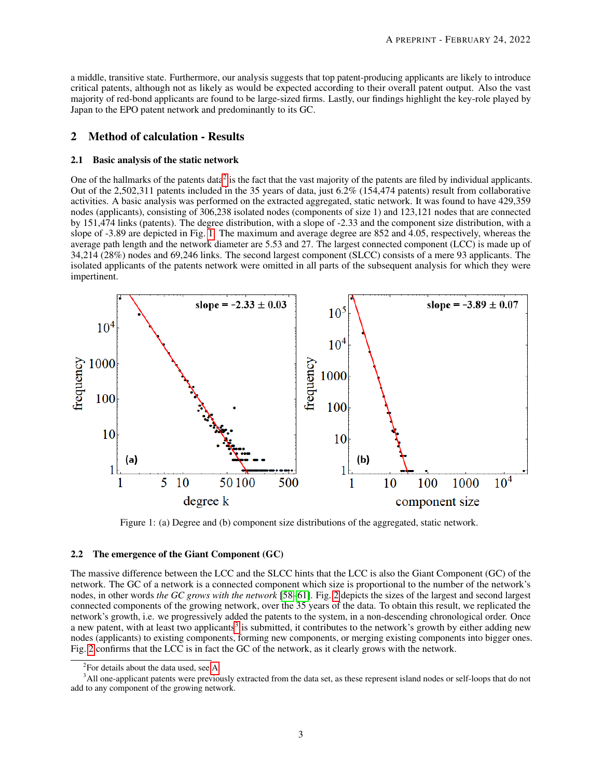a middle, transitive state. Furthermore, our analysis suggests that top patent-producing applicants are likely to introduce critical patents, although not as likely as would be expected according to their overall patent output. Also the vast majority of red-bond applicants are found to be large-sized firms. Lastly, our findings highlight the key-role played by Japan to the EPO patent network and predominantly to its GC.

# 2 Method of calculation - Results

#### 2.1 Basic analysis of the static network

One of the hallmarks of the patents data<sup>[2](#page-2-0)</sup> is the fact that the vast majority of the patents are filed by individual applicants. Out of the 2,502,311 patents included in the 35 years of data, just 6.2% (154,474 patents) result from collaborative activities. A basic analysis was performed on the extracted aggregated, static network. It was found to have 429,359 nodes (applicants), consisting of 306,238 isolated nodes (components of size 1) and 123,121 nodes that are connected by 151,474 links (patents). The degree distribution, with a slope of -2.33 and the component size distribution, with a slope of -3.89 are depicted in Fig. [1.](#page-2-1) The maximum and average degree are 852 and 4.05, respectively, whereas the average path length and the network diameter are 5.53 and 27. The largest connected component (LCC) is made up of 34,214 (28%) nodes and 69,246 links. The second largest component (SLCC) consists of a mere 93 applicants. The isolated applicants of the patents network were omitted in all parts of the subsequent analysis for which they were impertinent.

<span id="page-2-1"></span>

Figure 1: (a) Degree and (b) component size distributions of the aggregated, static network.

#### <span id="page-2-3"></span>2.2 The emergence of the Giant Component (GC)

The massive difference between the LCC and the SLCC hints that the LCC is also the Giant Component (GC) of the network. The GC of a network is a connected component which size is proportional to the number of the network's nodes, in other words *the GC grows with the network* [\[58–](#page-14-8)[61\]](#page-14-9). Fig. [2](#page-3-0) depicts the sizes of the largest and second largest connected components of the growing network, over the 35 years of the data. To obtain this result, we replicated the network's growth, i.e. we progressively added the patents to the system, in a non-descending chronological order. Once a new patent, with at least two applicants<sup>[3](#page-2-2)</sup> is submitted, it contributes to the network's growth by either adding new nodes (applicants) to existing components, forming new components, or merging existing components into bigger ones. Fig. [2](#page-3-0) confirms that the LCC is in fact the GC of the network, as it clearly grows with the network.

<span id="page-2-2"></span><span id="page-2-0"></span> ${}^{2}$ For details about the data used, see [A.](#page-15-0)

<sup>&</sup>lt;sup>3</sup>All one-applicant patents were previously extracted from the data set, as these represent island nodes or self-loops that do not add to any component of the growing network.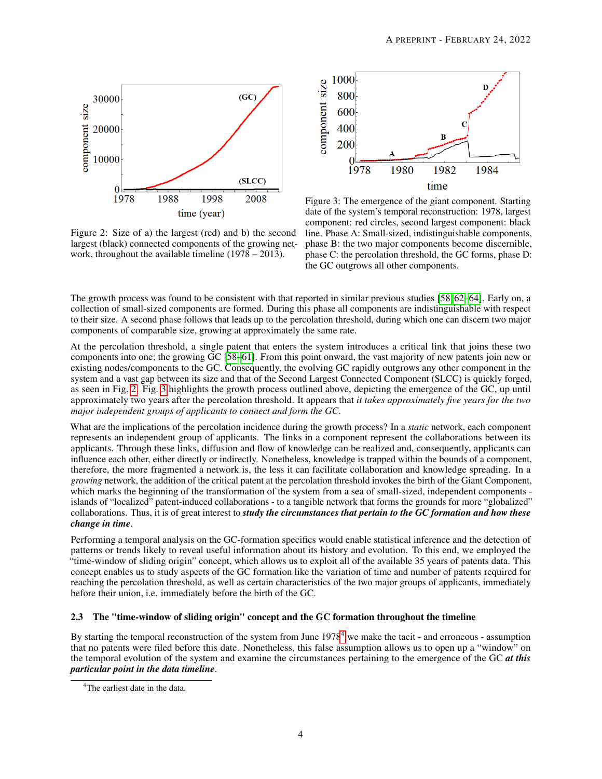<span id="page-3-0"></span>

Figure 2: Size of a) the largest (red) and b) the second largest (black) connected components of the growing network, throughout the available timeline (1978 – 2013).



Figure 3: The emergence of the giant component. Starting date of the system's temporal reconstruction: 1978, largest component: red circles, second largest component: black line. Phase A: Small-sized, indistinguishable components, phase B: the two major components become discernible, phase C: the percolation threshold, the GC forms, phase D: the GC outgrows all other components.

The growth process was found to be consistent with that reported in similar previous studies [\[58,](#page-14-8) [62](#page-14-12)[–64\]](#page-14-13). Early on, a collection of small-sized components are formed. During this phase all components are indistinguishable with respect to their size. A second phase follows that leads up to the percolation threshold, during which one can discern two major components of comparable size, growing at approximately the same rate.

At the percolation threshold, a single patent that enters the system introduces a critical link that joins these two components into one; the growing GC [\[58](#page-14-8)[–61\]](#page-14-9). From this point onward, the vast majority of new patents join new or existing nodes/components to the GC. Consequently, the evolving GC rapidly outgrows any other component in the system and a vast gap between its size and that of the Second Largest Connected Component (SLCC) is quickly forged, as seen in Fig. [2.](#page-3-0) Fig. [3](#page-3-0) highlights the growth process outlined above, depicting the emergence of the GC, up until approximately two years after the percolation threshold. It appears that *it takes approximately five years for the two major independent groups of applicants to connect and form the GC*.

What are the implications of the percolation incidence during the growth process? In a *static* network, each component represents an independent group of applicants. The links in a component represent the collaborations between its applicants. Through these links, diffusion and flow of knowledge can be realized and, consequently, applicants can influence each other, either directly or indirectly. Nonetheless, knowledge is trapped within the bounds of a component, therefore, the more fragmented a network is, the less it can facilitate collaboration and knowledge spreading. In a *growing* network, the addition of the critical patent at the percolation threshold invokes the birth of the Giant Component, which marks the beginning of the transformation of the system from a sea of small-sized, independent components islands of "localized" patent-induced collaborations - to a tangible network that forms the grounds for more "globalized" collaborations. Thus, it is of great interest to *study the circumstances that pertain to the GC formation and how these change in time*.

Performing a temporal analysis on the GC-formation specifics would enable statistical inference and the detection of patterns or trends likely to reveal useful information about its history and evolution. To this end, we employed the "time-window of sliding origin" concept, which allows us to exploit all of the available 35 years of patents data. This concept enables us to study aspects of the GC formation like the variation of time and number of patents required for reaching the percolation threshold, as well as certain characteristics of the two major groups of applicants, immediately before their union, i.e. immediately before the birth of the GC.

# 2.3 The "time-window of sliding origin" concept and the GC formation throughout the timeline

By starting the temporal reconstruction of the system from June 1978[4](#page-3-1) we make the tacit - and erroneous - assumption that no patents were filed before this date. Nonetheless, this false assumption allows us to open up a "window" on the temporal evolution of the system and examine the circumstances pertaining to the emergence of the GC *at this particular point in the data timeline*.

<span id="page-3-1"></span><sup>&</sup>lt;sup>4</sup>The earliest date in the data.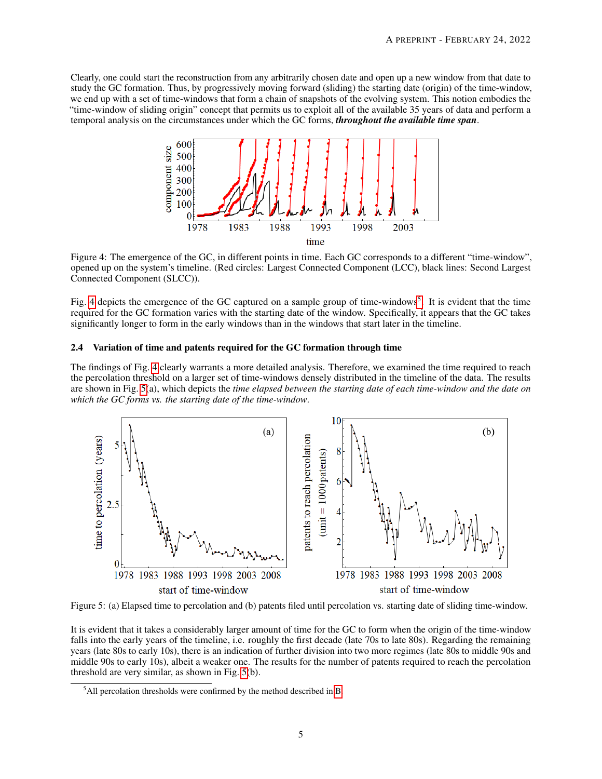<span id="page-4-0"></span>Clearly, one could start the reconstruction from any arbitrarily chosen date and open up a new window from that date to study the GC formation. Thus, by progressively moving forward (sliding) the starting date (origin) of the time-window, we end up with a set of time-windows that form a chain of snapshots of the evolving system. This notion embodies the "time-window of sliding origin" concept that permits us to exploit all of the available 35 years of data and perform a temporal analysis on the circumstances under which the GC forms, *throughout the available time span*.



Figure 4: The emergence of the GC, in different points in time. Each GC corresponds to a different "time-window", opened up on the system's timeline. (Red circles: Largest Connected Component (LCC), black lines: Second Largest Connected Component (SLCC)).

Fig. [4](#page-4-0) depicts the emergence of the GC captured on a sample group of time-windows<sup>[5](#page-4-1)</sup>. It is evident that the time required for the GC formation varies with the starting date of the window. Specifically, it appears that the GC takes significantly longer to form in the early windows than in the windows that start later in the timeline.

#### 2.4 Variation of time and patents required for the GC formation through time

The findings of Fig. [4](#page-4-0) clearly warrants a more detailed analysis. Therefore, we examined the time required to reach the percolation threshold on a larger set of time-windows densely distributed in the timeline of the data. The results are shown in Fig. [5\(](#page-4-2)a), which depicts the *time elapsed between the starting date of each time-window and the date on which the GC forms vs. the starting date of the time-window*.

<span id="page-4-2"></span>

Figure 5: (a) Elapsed time to percolation and (b) patents filed until percolation vs. starting date of sliding time-window.

It is evident that it takes a considerably larger amount of time for the GC to form when the origin of the time-window falls into the early years of the timeline, i.e. roughly the first decade (late 70s to late 80s). Regarding the remaining years (late 80s to early 10s), there is an indication of further division into two more regimes (late 80s to middle 90s and middle 90s to early 10s), albeit a weaker one. The results for the number of patents required to reach the percolation threshold are very similar, as shown in Fig. [5\(](#page-4-2)b).

<span id="page-4-1"></span> $<sup>5</sup>$ All percolation thresholds were confirmed by the method described in [B.](#page-16-0)</sup>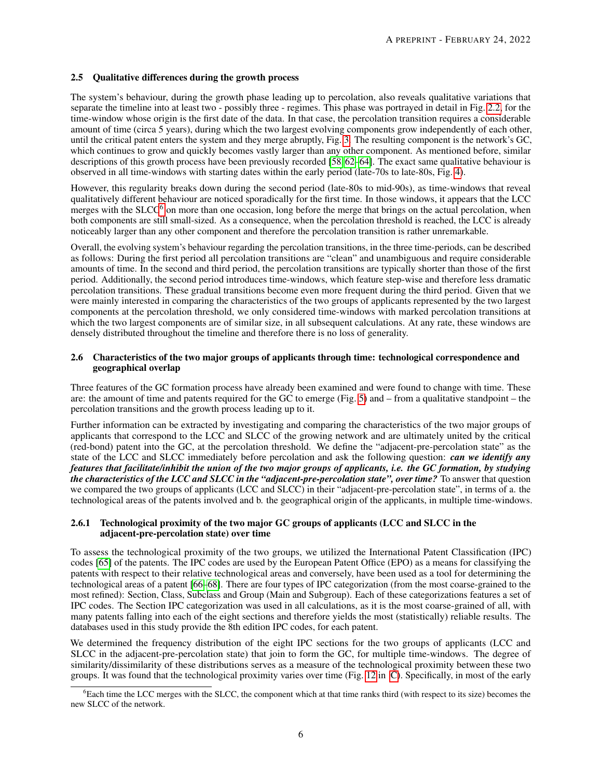## 2.5 Qualitative differences during the growth process

The system's behaviour, during the growth phase leading up to percolation, also reveals qualitative variations that separate the timeline into at least two - possibly three - regimes. This phase was portrayed in detail in Fig. [2.2,](#page-2-3) for the time-window whose origin is the first date of the data. In that case, the percolation transition requires a considerable amount of time (circa 5 years), during which the two largest evolving components grow independently of each other, until the critical patent enters the system and they merge abruptly, Fig. [3.](#page-3-0) The resulting component is the network's GC, which continues to grow and quickly becomes vastly larger than any other component. As mentioned before, similar descriptions of this growth process have been previously recorded [\[58,](#page-14-8) [62–](#page-14-12)[64\]](#page-14-13). The exact same qualitative behaviour is observed in all time-windows with starting dates within the early period (late-70s to late-80s, Fig. [4\)](#page-4-0).

However, this regularity breaks down during the second period (late-80s to mid-90s), as time-windows that reveal qualitatively different behaviour are noticed sporadically for the first time. In those windows, it appears that the LCC merges with the  $SLCC<sup>6</sup>$  $SLCC<sup>6</sup>$  $SLCC<sup>6</sup>$  on more than one occasion, long before the merge that brings on the actual percolation, when both components are still small-sized. As a consequence, when the percolation threshold is reached, the LCC is already noticeably larger than any other component and therefore the percolation transition is rather unremarkable.

Overall, the evolving system's behaviour regarding the percolation transitions, in the three time-periods, can be described as follows: During the first period all percolation transitions are "clean" and unambiguous and require considerable amounts of time. In the second and third period, the percolation transitions are typically shorter than those of the first period. Additionally, the second period introduces time-windows, which feature step-wise and therefore less dramatic percolation transitions. These gradual transitions become even more frequent during the third period. Given that we were mainly interested in comparing the characteristics of the two groups of applicants represented by the two largest components at the percolation threshold, we only considered time-windows with marked percolation transitions at which the two largest components are of similar size, in all subsequent calculations. At any rate, these windows are densely distributed throughout the timeline and therefore there is no loss of generality.

## 2.6 Characteristics of the two major groups of applicants through time: technological correspondence and geographical overlap

Three features of the GC formation process have already been examined and were found to change with time. These are: the amount of time and patents required for the GC to emerge (Fig. [5\)](#page-4-2) and – from a qualitative standpoint – the percolation transitions and the growth process leading up to it.

Further information can be extracted by investigating and comparing the characteristics of the two major groups of applicants that correspond to the LCC and SLCC of the growing network and are ultimately united by the critical (red-bond) patent into the GC, at the percolation threshold. We define the "adjacent-pre-percolation state" as the state of the LCC and SLCC immediately before percolation and ask the following question: *can we identify any features that facilitate/inhibit the union of the two major groups of applicants, i.e. the GC formation, by studying the characteristics of the LCC and SLCC in the "adjacent-pre-percolation state", over time?* To answer that question we compared the two groups of applicants (LCC and SLCC) in their "adjacent-pre-percolation state", in terms of a. the technological areas of the patents involved and b. the geographical origin of the applicants, in multiple time-windows.

## 2.6.1 Technological proximity of the two major GC groups of applicants (LCC and SLCC in the adjacent-pre-percolation state) over time

To assess the technological proximity of the two groups, we utilized the International Patent Classification (IPC) codes [\[65\]](#page-14-14) of the patents. The IPC codes are used by the European Patent Office (EPO) as a means for classifying the patents with respect to their relative technological areas and conversely, have been used as a tool for determining the technological areas of a patent [\[66](#page-14-15)[–68\]](#page-14-16). There are four types of IPC categorization (from the most coarse-grained to the most refined): Section, Class, Subclass and Group (Main and Subgroup). Each of these categorizations features a set of IPC codes. The Section IPC categorization was used in all calculations, as it is the most coarse-grained of all, with many patents falling into each of the eight sections and therefore yields the most (statistically) reliable results. The databases used in this study provide the 8th edition IPC codes, for each patent.

We determined the frequency distribution of the eight IPC sections for the two groups of applicants (LCC and SLCC in the adjacent-pre-percolation state) that join to form the GC, for multiple time-windows. The degree of similarity/dissimilarity of these distributions serves as a measure of the technological proximity between these two groups. It was found that the technological proximity varies over time (Fig. [12](#page-17-0) in [C\)](#page-17-1). Specifically, in most of the early

<span id="page-5-0"></span> ${}^{6}$ Each time the LCC merges with the SLCC, the component which at that time ranks third (with respect to its size) becomes the new SLCC of the network.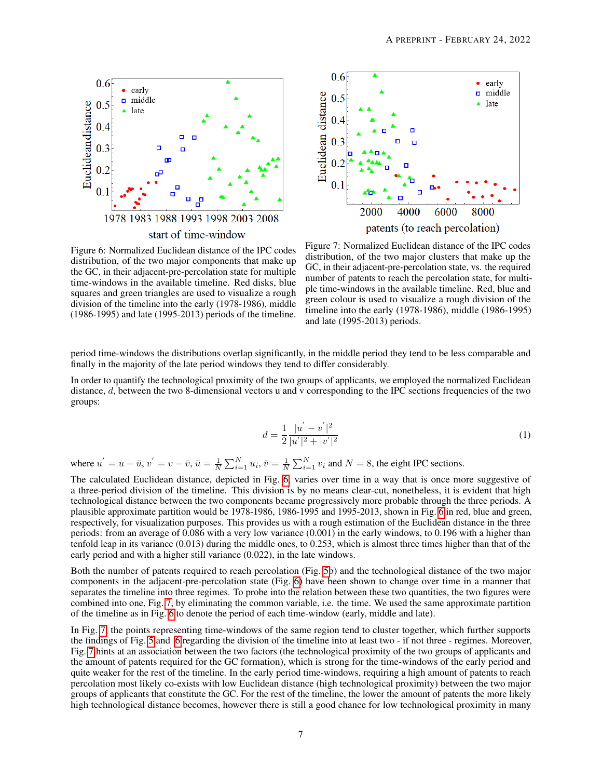<span id="page-6-0"></span>



Figure 6: Normalized Euclidean distance of the IPC codes distribution, of the two major components that make up the GC, in their adjacent-pre-percolation state for multiple time-windows in the available timeline. Red disks, blue squares and green triangles are used to visualize a rough division of the timeline into the early (1978-1986), middle (1986-1995) and late (1995-2013) periods of the timeline.

Figure 7: Normalized Euclidean distance of the IPC codes distribution, of the two major clusters that make up the GC, in their adjacent-pre-percolation state, vs. the required number of patents to reach the percolation state, for multiple time-windows in the available timeline. Red, blue and green colour is used to visualize a rough division of the timeline into the early (1978-1986), middle (1986-1995) and late (1995-2013) periods.

period time-windows the distributions overlap significantly, in the middle period they tend to be less comparable and finally in the majority of the late period windows they tend to differ considerably.

In order to quantify the technological proximity of the two groups of applicants, we employed the normalized Euclidean distance, d, between the two 8-dimensional vectors u and v corresponding to the IPC sections frequencies of the two groups:

$$
d = \frac{1}{2} \frac{|u^{'} - v^{'}|^{2}}{|u^{'}|^{2} + |v^{'}|^{2}} \tag{1}
$$

where  $u' = u - \bar{u}$ ,  $v' = v - \bar{v}$ ,  $\bar{u} = \frac{1}{N} \sum_{i=1}^{N} u_i$ ,  $\bar{v} = \frac{1}{N} \sum_{i=1}^{N} v_i$  and  $N = 8$ , the eight IPC sections.

The calculated Euclidean distance, depicted in Fig. [6,](#page-6-0) varies over time in a way that is once more suggestive of a three-period division of the timeline. This division is by no means clear-cut, nonetheless, it is evident that high technological distance between the two components became progressively more probable through the three periods. A plausible approximate partition would be 1978-1986, 1986-1995 and 1995-2013, shown in Fig. [6](#page-6-0) in red, blue and green, respectively, for visualization purposes. This provides us with a rough estimation of the Euclidean distance in the three periods: from an average of 0.086 with a very low variance (0.001) in the early windows, to 0.196 with a higher than tenfold leap in its variance (0.013) during the middle ones, to 0.253, which is almost three times higher than that of the early period and with a higher still variance (0.022), in the late windows.

Both the number of patents required to reach percolation (Fig. [5b](#page-4-2)) and the technological distance of the two major components in the adjacent-pre-percolation state (Fig. [6\)](#page-6-0) have been shown to change over time in a manner that separates the timeline into three regimes. To probe into the relation between these two quantities, the two figures were combined into one, Fig. [7,](#page-6-0) by eliminating the common variable, i.e. the time. We used the same approximate partition of the timeline as in Fig. [6](#page-6-0) to denote the period of each time-window (early, middle and late).

In Fig. [7,](#page-6-0) the points representing time-windows of the same region tend to cluster together, which further supports the findings of Fig. [5](#page-4-2) and [6](#page-6-0) regarding the division of the timeline into at least two - if not three - regimes. Moreover, Fig. [7](#page-6-0) hints at an association between the two factors (the technological proximity of the two groups of applicants and the amount of patents required for the GC formation), which is strong for the time-windows of the early period and quite weaker for the rest of the timeline. In the early period time-windows, requiring a high amount of patents to reach percolation most likely co-exists with low Euclidean distance (high technological proximity) between the two major groups of applicants that constitute the GC. For the rest of the timeline, the lower the amount of patents the more likely high technological distance becomes, however there is still a good chance for low technological proximity in many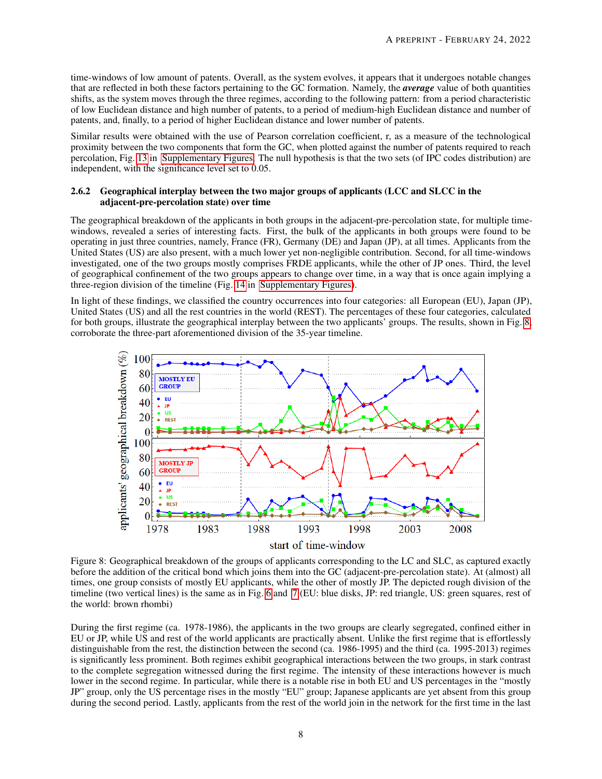time-windows of low amount of patents. Overall, as the system evolves, it appears that it undergoes notable changes that are reflected in both these factors pertaining to the GC formation. Namely, the *average* value of both quantities shifts, as the system moves through the three regimes, according to the following pattern: from a period characteristic of low Euclidean distance and high number of patents, to a period of medium-high Euclidean distance and number of patents, and, finally, to a period of higher Euclidean distance and lower number of patents.

Similar results were obtained with the use of Pearson correlation coefficient, r, as a measure of the technological proximity between the two components that form the GC, when plotted against the number of patents required to reach percolation, Fig. [13](#page-18-0) in [Supplementary Figures.](#page-17-1) The null hypothesis is that the two sets (of IPC codes distribution) are independent, with the significance level set to 0.05.

#### 2.6.2 Geographical interplay between the two major groups of applicants (LCC and SLCC in the adjacent-pre-percolation state) over time

The geographical breakdown of the applicants in both groups in the adjacent-pre-percolation state, for multiple timewindows, revealed a series of interesting facts. First, the bulk of the applicants in both groups were found to be operating in just three countries, namely, France (FR), Germany (DE) and Japan (JP), at all times. Applicants from the United States (US) are also present, with a much lower yet non-negligible contribution. Second, for all time-windows investigated, one of the two groups mostly comprises FRDE applicants, while the other of JP ones. Third, the level of geographical confinement of the two groups appears to change over time, in a way that is once again implying a three-region division of the timeline (Fig. [14](#page-18-1) in [Supplementary Figures\)](#page-17-1).

In light of these findings, we classified the country occurrences into four categories: all European (EU), Japan (JP), United States (US) and all the rest countries in the world (REST). The percentages of these four categories, calculated for both groups, illustrate the geographical interplay between the two applicants' groups. The results, shown in Fig. [8,](#page-7-0) corroborate the three-part aforementioned division of the 35-year timeline.

<span id="page-7-0"></span>

Figure 8: Geographical breakdown of the groups of applicants corresponding to the LC and SLC, as captured exactly before the addition of the critical bond which joins them into the GC (adjacent-pre-percolation state). At (almost) all times, one group consists of mostly EU applicants, while the other of mostly JP. The depicted rough division of the timeline (two vertical lines) is the same as in Fig. [6](#page-6-0) and [7](#page-6-0) (EU: blue disks, JP: red triangle, US: green squares, rest of the world: brown rhombi)

During the first regime (ca. 1978-1986), the applicants in the two groups are clearly segregated, confined either in EU or JP, while US and rest of the world applicants are practically absent. Unlike the first regime that is effortlessly distinguishable from the rest, the distinction between the second (ca. 1986-1995) and the third (ca. 1995-2013) regimes is significantly less prominent. Both regimes exhibit geographical interactions between the two groups, in stark contrast to the complete segregation witnessed during the first regime. The intensity of these interactions however is much lower in the second regime. In particular, while there is a notable rise in both EU and US percentages in the "mostly JP" group, only the US percentage rises in the mostly "EU" group; Japanese applicants are yet absent from this group during the second period. Lastly, applicants from the rest of the world join in the network for the first time in the last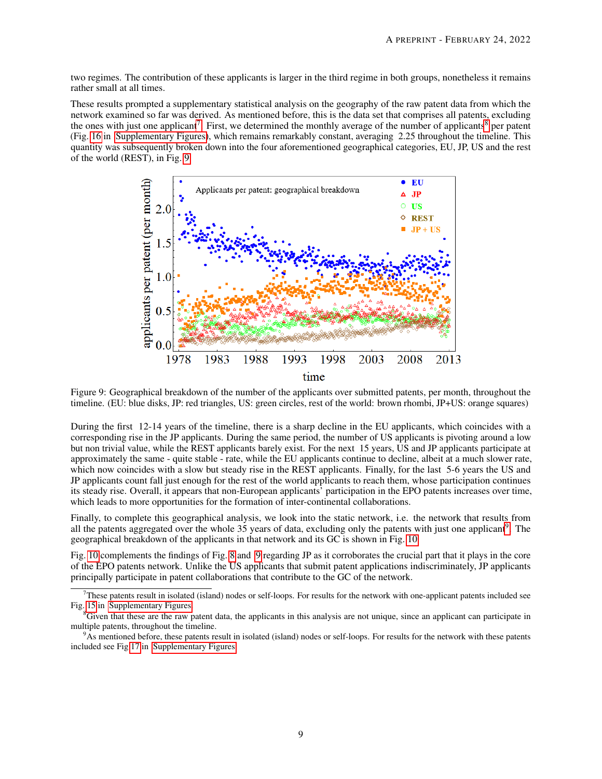two regimes. The contribution of these applicants is larger in the third regime in both groups, nonetheless it remains rather small at all times.

These results prompted a supplementary statistical analysis on the geography of the raw patent data from which the network examined so far was derived. As mentioned before, this is the data set that comprises all patents, excluding the ones with just one applicant<sup>[7](#page-8-0)</sup>. First, we determined the monthly average of the number of applicants<sup>[8](#page-8-1)</sup> per patent (Fig. [16](#page-19-0) in [Supplementary Figures\)](#page-17-1), which remains remarkably constant, averaging 2.25 throughout the timeline. This quantity was subsequently broken down into the four aforementioned geographical categories, EU, JP, US and the rest of the world (REST), in Fig. [9.](#page-8-2)

<span id="page-8-2"></span>

Figure 9: Geographical breakdown of the number of the applicants over submitted patents, per month, throughout the timeline. (EU: blue disks, JP: red triangles, US: green circles, rest of the world: brown rhombi, JP+US: orange squares)

During the first 12-14 years of the timeline, there is a sharp decline in the EU applicants, which coincides with a corresponding rise in the JP applicants. During the same period, the number of US applicants is pivoting around a low but non trivial value, while the REST applicants barely exist. For the next 15 years, US and JP applicants participate at approximately the same - quite stable - rate, while the EU applicants continue to decline, albeit at a much slower rate, which now coincides with a slow but steady rise in the REST applicants. Finally, for the last 5-6 years the US and JP applicants count fall just enough for the rest of the world applicants to reach them, whose participation continues its steady rise. Overall, it appears that non-European applicants' participation in the EPO patents increases over time, which leads to more opportunities for the formation of inter-continental collaborations.

Finally, to complete this geographical analysis, we look into the static network, i.e. the network that results from all the patents aggregated over the whole 35 years of data, excluding only the patents with just one applicant<sup>[9](#page-8-3)</sup>. The geographical breakdown of the applicants in that network and its GC is shown in Fig. [10.](#page-9-0)

Fig. [10](#page-9-0) complements the findings of Fig. [8](#page-7-0) and [9](#page-8-2) regarding JP as it corroborates the crucial part that it plays in the core of the EPO patents network. Unlike the US applicants that submit patent applications indiscriminately, JP applicants principally participate in patent collaborations that contribute to the GC of the network.

<span id="page-8-0"></span> $<sup>7</sup>$ These patents result in isolated (island) nodes or self-loops. For results for the network with one-applicant patents included see</sup> Fig. [15](#page-19-0) in [Supplementary Figures.](#page-17-1)

<span id="page-8-1"></span> ${}^8$ Given that these are the raw patent data, the applicants in this analysis are not unique, since an applicant can participate in multiple patents, throughout the timeline.

<span id="page-8-3"></span><sup>&</sup>lt;sup>9</sup>As mentioned before, these patents result in isolated (island) nodes or self-loops. For results for the network with these patents included see Fig [17](#page-19-1) in [Supplementary Figures.](#page-17-1)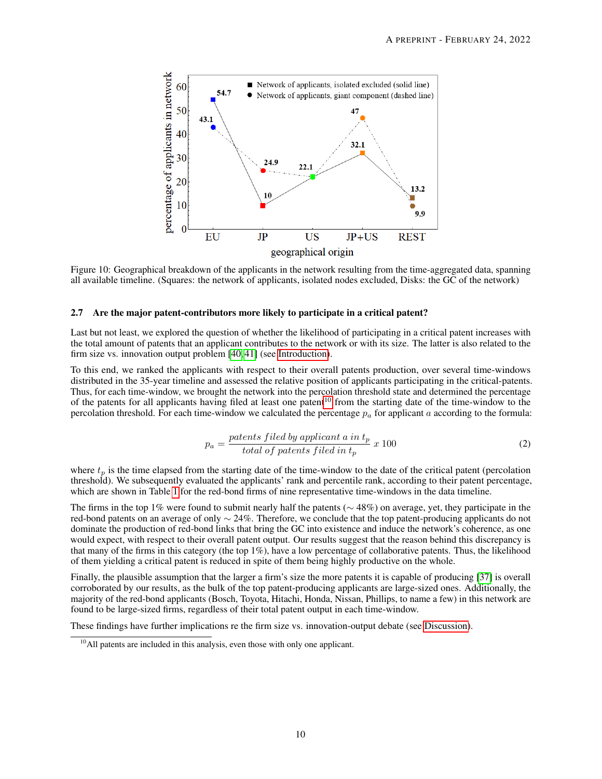<span id="page-9-0"></span>

Figure 10: Geographical breakdown of the applicants in the network resulting from the time-aggregated data, spanning all available timeline. (Squares: the network of applicants, isolated nodes excluded, Disks: the GC of the network)

#### 2.7 Are the major patent-contributors more likely to participate in a critical patent?

Last but not least, we explored the question of whether the likelihood of participating in a critical patent increases with the total amount of patents that an applicant contributes to the network or with its size. The latter is also related to the firm size vs. innovation output problem [\[40,](#page-13-10) [41\]](#page-13-11) (see [Introduction\)](#page-0-0).

To this end, we ranked the applicants with respect to their overall patents production, over several time-windows distributed in the 35-year timeline and assessed the relative position of applicants participating in the critical-patents. Thus, for each time-window, we brought the network into the percolation threshold state and determined the percentage of the patents for all applicants having filed at least one patent<sup>[10](#page-9-1)</sup> from the starting date of the time-window to the percolation threshold. For each time-window we calculated the percentage  $p_a$  for applicant a according to the formula:

$$
p_a = \frac{paths\ field\ by\ application\ a\ in\ t_p}{total\ of\ patients\ filed\ in\ t_p} \ x\ 100\tag{2}
$$

where  $t_p$  is the time elapsed from the starting date of the time-window to the date of the critical patent (percolation threshold). We subsequently evaluated the applicants' rank and percentile rank, according to their patent percentage, which are shown in Table [1](#page-10-0) for the red-bond firms of nine representative time-windows in the data timeline.

The firms in the top 1% were found to submit nearly half the patents ( $\sim$  48%) on average, yet, they participate in the red-bond patents on an average of only ∼ 24%. Therefore, we conclude that the top patent-producing applicants do not dominate the production of red-bond links that bring the GC into existence and induce the network's coherence, as one would expect, with respect to their overall patent output. Our results suggest that the reason behind this discrepancy is that many of the firms in this category (the top 1%), have a low percentage of collaborative patents. Thus, the likelihood of them yielding a critical patent is reduced in spite of them being highly productive on the whole.

Finally, the plausible assumption that the larger a firm's size the more patents it is capable of producing [\[37\]](#page-13-8) is overall corroborated by our results, as the bulk of the top patent-producing applicants are large-sized ones. Additionally, the majority of the red-bond applicants (Bosch, Toyota, Hitachi, Honda, Nissan, Phillips, to name a few) in this network are found to be large-sized firms, regardless of their total patent output in each time-window.

These findings have further implications re the firm size vs. innovation-output debate (see [Discussion\)](#page-10-1).

<span id="page-9-1"></span> $10$ All patents are included in this analysis, even those with only one applicant.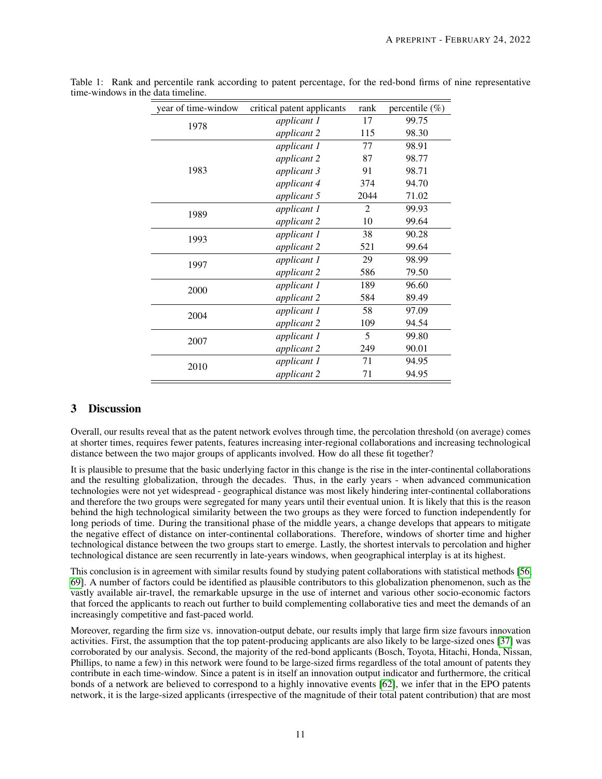| year of time-window | critical patent applicants | rank           | percentile $(\%)$ |
|---------------------|----------------------------|----------------|-------------------|
| 1978                | applicant 1                | 17             | 99.75             |
|                     | applicant 2                | 115            | 98.30             |
| 1983                | applicant 1                | 77             | 98.91             |
|                     | applicant 2                | 87             | 98.77             |
|                     | applicant 3                | 91             | 98.71             |
|                     | applicant 4                | 374            | 94.70             |
|                     | applicant 5                | 2044           | 71.02             |
| 1989                | applicant 1                | $\overline{2}$ | 99.93             |
|                     | applicant 2                | 10             | 99.64             |
| 1993                | applicant 1                | 38             | 90.28             |
|                     | applicant 2                | 521            | 99.64             |
| 1997                | applicant 1                | 29             | 98.99             |
|                     | applicant 2                | 586            | 79.50             |
| 2000                | applicant 1                | 189            | 96.60             |
|                     | applicant 2                | 584            | 89.49             |
| 2004                | applicant 1                | 58             | 97.09             |
|                     | applicant 2                | 109            | 94.54             |
| 2007                | applicant 1                | 5              | 99.80             |
|                     | applicant 2                | 249            | 90.01             |
| 2010                | applicant 1                | 71             | 94.95             |
|                     | applicant 2                | 71             | 94.95             |

<span id="page-10-0"></span>Table 1: Rank and percentile rank according to patent percentage, for the red-bond firms of nine representative time-windows in the data timeline.

# <span id="page-10-1"></span>3 Discussion

Overall, our results reveal that as the patent network evolves through time, the percolation threshold (on average) comes at shorter times, requires fewer patents, features increasing inter-regional collaborations and increasing technological distance between the two major groups of applicants involved. How do all these fit together?

It is plausible to presume that the basic underlying factor in this change is the rise in the inter-continental collaborations and the resulting globalization, through the decades. Thus, in the early years - when advanced communication technologies were not yet widespread - geographical distance was most likely hindering inter-continental collaborations and therefore the two groups were segregated for many years until their eventual union. It is likely that this is the reason behind the high technological similarity between the two groups as they were forced to function independently for long periods of time. During the transitional phase of the middle years, a change develops that appears to mitigate the negative effect of distance on inter-continental collaborations. Therefore, windows of shorter time and higher technological distance between the two groups start to emerge. Lastly, the shortest intervals to percolation and higher technological distance are seen recurrently in late-years windows, when geographical interplay is at its highest.

This conclusion is in agreement with similar results found by studying patent collaborations with statistical methods [\[56,](#page-14-17) [69\]](#page-14-18). A number of factors could be identified as plausible contributors to this globalization phenomenon, such as the vastly available air-travel, the remarkable upsurge in the use of internet and various other socio-economic factors that forced the applicants to reach out further to build complementing collaborative ties and meet the demands of an increasingly competitive and fast-paced world.

Moreover, regarding the firm size vs. innovation-output debate, our results imply that large firm size favours innovation activities. First, the assumption that the top patent-producing applicants are also likely to be large-sized ones [\[37\]](#page-13-8) was corroborated by our analysis. Second, the majority of the red-bond applicants (Bosch, Toyota, Hitachi, Honda, Nissan, Phillips, to name a few) in this network were found to be large-sized firms regardless of the total amount of patents they contribute in each time-window. Since a patent is in itself an innovation output indicator and furthermore, the critical bonds of a network are believed to correspond to a highly innovative events [\[62\]](#page-14-12), we infer that in the EPO patents network, it is the large-sized applicants (irrespective of the magnitude of their total patent contribution) that are most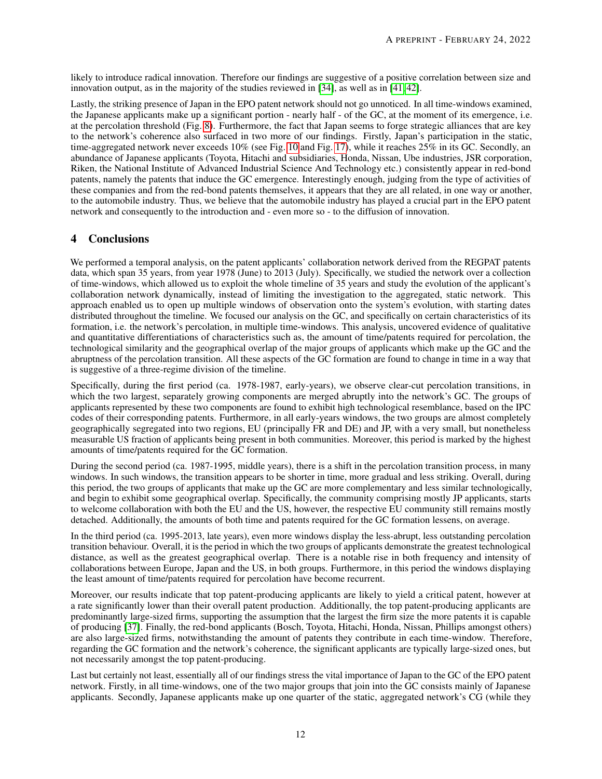likely to introduce radical innovation. Therefore our findings are suggestive of a positive correlation between size and innovation output, as in the majority of the studies reviewed in [\[34\]](#page-13-5), as well as in [\[41,](#page-13-11) [42\]](#page-13-12).

Lastly, the striking presence of Japan in the EPO patent network should not go unnoticed. In all time-windows examined, the Japanese applicants make up a significant portion - nearly half - of the GC, at the moment of its emergence, i.e. at the percolation threshold (Fig. [8\)](#page-7-0). Furthermore, the fact that Japan seems to forge strategic alliances that are key to the network's coherence also surfaced in two more of our findings. Firstly, Japan's participation in the static, time-aggregated network never exceeds [10](#page-9-0)% (see Fig. 10 and Fig. [17\)](#page-19-1), while it reaches 25% in its GC. Secondly, an abundance of Japanese applicants (Toyota, Hitachi and subsidiaries, Honda, Nissan, Ube industries, JSR corporation, Riken, the National Institute of Advanced Industrial Science And Technology etc.) consistently appear in red-bond patents, namely the patents that induce the GC emergence. Interestingly enough, judging from the type of activities of these companies and from the red-bond patents themselves, it appears that they are all related, in one way or another, to the automobile industry. Thus, we believe that the automobile industry has played a crucial part in the EPO patent network and consequently to the introduction and - even more so - to the diffusion of innovation.

# 4 Conclusions

We performed a temporal analysis, on the patent applicants' collaboration network derived from the REGPAT patents data, which span 35 years, from year 1978 (June) to 2013 (July). Specifically, we studied the network over a collection of time-windows, which allowed us to exploit the whole timeline of 35 years and study the evolution of the applicant's collaboration network dynamically, instead of limiting the investigation to the aggregated, static network. This approach enabled us to open up multiple windows of observation onto the system's evolution, with starting dates distributed throughout the timeline. We focused our analysis on the GC, and specifically on certain characteristics of its formation, i.e. the network's percolation, in multiple time-windows. This analysis, uncovered evidence of qualitative and quantitative differentiations of characteristics such as, the amount of time/patents required for percolation, the technological similarity and the geographical overlap of the major groups of applicants which make up the GC and the abruptness of the percolation transition. All these aspects of the GC formation are found to change in time in a way that is suggestive of a three-regime division of the timeline.

Specifically, during the first period (ca. 1978-1987, early-years), we observe clear-cut percolation transitions, in which the two largest, separately growing components are merged abruptly into the network's GC. The groups of applicants represented by these two components are found to exhibit high technological resemblance, based on the IPC codes of their corresponding patents. Furthermore, in all early-years windows, the two groups are almost completely geographically segregated into two regions, EU (principally FR and DE) and JP, with a very small, but nonetheless measurable US fraction of applicants being present in both communities. Moreover, this period is marked by the highest amounts of time/patents required for the GC formation.

During the second period (ca. 1987-1995, middle years), there is a shift in the percolation transition process, in many windows. In such windows, the transition appears to be shorter in time, more gradual and less striking. Overall, during this period, the two groups of applicants that make up the GC are more complementary and less similar technologically, and begin to exhibit some geographical overlap. Specifically, the community comprising mostly JP applicants, starts to welcome collaboration with both the EU and the US, however, the respective EU community still remains mostly detached. Additionally, the amounts of both time and patents required for the GC formation lessens, on average.

In the third period (ca. 1995-2013, late years), even more windows display the less-abrupt, less outstanding percolation transition behaviour. Overall, it is the period in which the two groups of applicants demonstrate the greatest technological distance, as well as the greatest geographical overlap. There is a notable rise in both frequency and intensity of collaborations between Europe, Japan and the US, in both groups. Furthermore, in this period the windows displaying the least amount of time/patents required for percolation have become recurrent.

Moreover, our results indicate that top patent-producing applicants are likely to yield a critical patent, however at a rate significantly lower than their overall patent production. Additionally, the top patent-producing applicants are predominantly large-sized firms, supporting the assumption that the largest the firm size the more patents it is capable of producing [\[37\]](#page-13-8). Finally, the red-bond applicants (Bosch, Toyota, Hitachi, Honda, Nissan, Phillips amongst others) are also large-sized firms, notwithstanding the amount of patents they contribute in each time-window. Therefore, regarding the GC formation and the network's coherence, the significant applicants are typically large-sized ones, but not necessarily amongst the top patent-producing.

Last but certainly not least, essentially all of our findings stress the vital importance of Japan to the GC of the EPO patent network. Firstly, in all time-windows, one of the two major groups that join into the GC consists mainly of Japanese applicants. Secondly, Japanese applicants make up one quarter of the static, aggregated network's CG (while they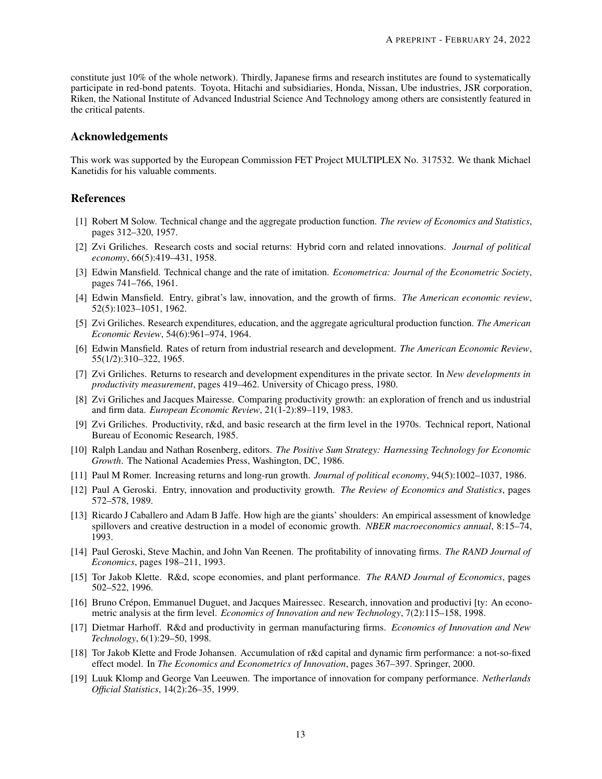constitute just 10% of the whole network). Thirdly, Japanese firms and research institutes are found to systematically participate in red-bond patents. Toyota, Hitachi and subsidiaries, Honda, Nissan, Ube industries, JSR corporation, Riken, the National Institute of Advanced Industrial Science And Technology among others are consistently featured in the critical patents.

#### Acknowledgements

This work was supported by the European Commission FET Project MULTIPLEX No. 317532. We thank Michael Kanetidis for his valuable comments.

## References

- <span id="page-12-0"></span>[1] Robert M Solow. Technical change and the aggregate production function. *The review of Economics and Statistics*, pages 312–320, 1957.
- [2] Zvi Griliches. Research costs and social returns: Hybrid corn and related innovations. *Journal of political economy*, 66(5):419–431, 1958.
- <span id="page-12-1"></span>[3] Edwin Mansfield. Technical change and the rate of imitation. *Econometrica: Journal of the Econometric Society*, pages 741–766, 1961.
- [4] Edwin Mansfield. Entry, gibrat's law, innovation, and the growth of firms. *The American economic review*, 52(5):1023–1051, 1962.
- [5] Zvi Griliches. Research expenditures, education, and the aggregate agricultural production function. *The American Economic Review*, 54(6):961–974, 1964.
- [6] Edwin Mansfield. Rates of return from industrial research and development. *The American Economic Review*, 55(1/2):310–322, 1965.
- [7] Zvi Griliches. Returns to research and development expenditures in the private sector. In *New developments in productivity measurement*, pages 419–462. University of Chicago press, 1980.
- [8] Zvi Griliches and Jacques Mairesse. Comparing productivity growth: an exploration of french and us industrial and firm data. *European Economic Review*, 21(1-2):89–119, 1983.
- [9] Zvi Griliches. Productivity, r&d, and basic research at the firm level in the 1970s. Technical report, National Bureau of Economic Research, 1985.
- [10] Ralph Landau and Nathan Rosenberg, editors. *The Positive Sum Strategy: Harnessing Technology for Economic Growth*. The National Academies Press, Washington, DC, 1986.
- [11] Paul M Romer. Increasing returns and long-run growth. *Journal of political economy*, 94(5):1002–1037, 1986.
- [12] Paul A Geroski. Entry, innovation and productivity growth. *The Review of Economics and Statistics*, pages 572–578, 1989.
- <span id="page-12-2"></span>[13] Ricardo J Caballero and Adam B Jaffe. How high are the giants' shoulders: An empirical assessment of knowledge spillovers and creative destruction in a model of economic growth. *NBER macroeconomics annual*, 8:15–74, 1993.
- [14] Paul Geroski, Steve Machin, and John Van Reenen. The profitability of innovating firms. *The RAND Journal of Economics*, pages 198–211, 1993.
- [15] Tor Jakob Klette. R&d, scope economies, and plant performance. *The RAND Journal of Economics*, pages 502–522, 1996.
- <span id="page-12-3"></span>[16] Bruno Crépon, Emmanuel Duguet, and Jacques Mairessec. Research, innovation and productivi [ty: An econometric analysis at the firm level. *Economics of Innovation and new Technology*, 7(2):115–158, 1998.
- [17] Dietmar Harhoff. R&d and productivity in german manufacturing firms. *Economics of Innovation and New Technology*, 6(1):29–50, 1998.
- [18] Tor Jakob Klette and Frode Johansen. Accumulation of r&d capital and dynamic firm performance: a not-so-fixed effect model. In *The Economics and Econometrics of Innovation*, pages 367–397. Springer, 2000.
- [19] Luuk Klomp and George Van Leeuwen. The importance of innovation for company performance. *Netherlands Official Statistics*, 14(2):26–35, 1999.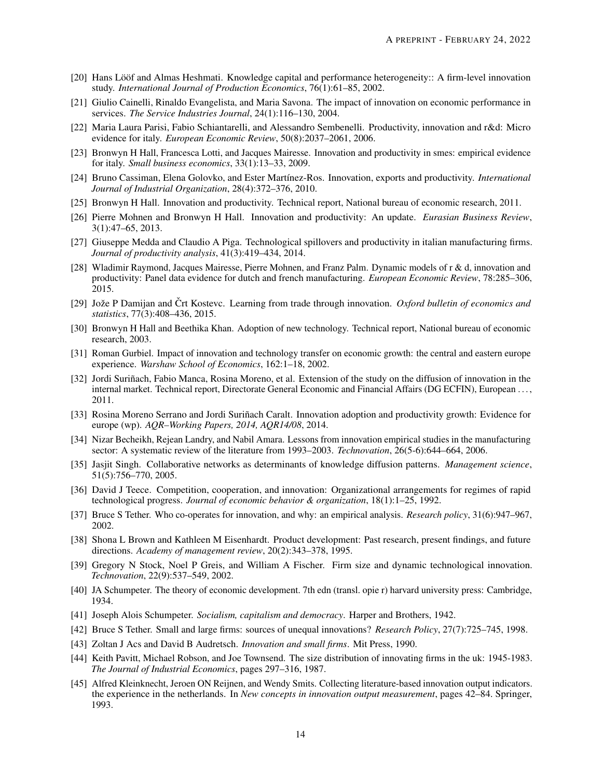- <span id="page-13-14"></span>[20] Hans Lööf and Almas Heshmati. Knowledge capital and performance heterogeneity:: A firm-level innovation study. *International Journal of Production Economics*, 76(1):61–85, 2002.
- [21] Giulio Cainelli, Rinaldo Evangelista, and Maria Savona. The impact of innovation on economic performance in services. *The Service Industries Journal*, 24(1):116–130, 2004.
- [22] Maria Laura Parisi, Fabio Schiantarelli, and Alessandro Sembenelli. Productivity, innovation and r&d: Micro evidence for italy. *European Economic Review*, 50(8):2037–2061, 2006.
- [23] Bronwyn H Hall, Francesca Lotti, and Jacques Mairesse. Innovation and productivity in smes: empirical evidence for italy. *Small business economics*, 33(1):13–33, 2009.
- [24] Bruno Cassiman, Elena Golovko, and Ester Martínez-Ros. Innovation, exports and productivity. *International Journal of Industrial Organization*, 28(4):372–376, 2010.
- <span id="page-13-15"></span>[25] Bronwyn H Hall. Innovation and productivity. Technical report, National bureau of economic research, 2011.
- [26] Pierre Mohnen and Bronwyn H Hall. Innovation and productivity: An update. *Eurasian Business Review*, 3(1):47–65, 2013.
- [27] Giuseppe Medda and Claudio A Piga. Technological spillovers and productivity in italian manufacturing firms. *Journal of productivity analysis*, 41(3):419–434, 2014.
- <span id="page-13-0"></span>[28] Wladimir Raymond, Jacques Mairesse, Pierre Mohnen, and Franz Palm. Dynamic models of r & d, innovation and productivity: Panel data evidence for dutch and french manufacturing. *European Economic Review*, 78:285–306, 2015.
- <span id="page-13-1"></span>[29] Jože P Damijan and Crt Kostevc. Learning from trade through innovation. *Oxford bulletin of economics and statistics*, 77(3):408–436, 2015.
- <span id="page-13-2"></span>[30] Bronwyn H Hall and Beethika Khan. Adoption of new technology. Technical report, National bureau of economic research, 2003.
- <span id="page-13-3"></span>[31] Roman Gurbiel. Impact of innovation and technology transfer on economic growth: the central and eastern europe experience. *Warshaw School of Economics*, 162:1–18, 2002.
- [32] Jordi Suriñach, Fabio Manca, Rosina Moreno, et al. Extension of the study on the diffusion of innovation in the internal market. Technical report, Directorate General Economic and Financial Affairs (DG ECFIN), European . . . , 2011.
- <span id="page-13-4"></span>[33] Rosina Moreno Serrano and Jordi Suriñach Caralt. Innovation adoption and productivity growth: Evidence for europe (wp). *AQR–Working Papers, 2014, AQR14/08*, 2014.
- <span id="page-13-5"></span>[34] Nizar Becheikh, Rejean Landry, and Nabil Amara. Lessons from innovation empirical studies in the manufacturing sector: A systematic review of the literature from 1993–2003. *Technovation*, 26(5-6):644–664, 2006.
- <span id="page-13-6"></span>[35] Jasjit Singh. Collaborative networks as determinants of knowledge diffusion patterns. *Management science*, 51(5):756–770, 2005.
- <span id="page-13-7"></span>[36] David J Teece. Competition, cooperation, and innovation: Organizational arrangements for regimes of rapid technological progress. *Journal of economic behavior & organization*, 18(1):1–25, 1992.
- <span id="page-13-8"></span>[37] Bruce S Tether. Who co-operates for innovation, and why: an empirical analysis. *Research policy*, 31(6):947–967, 2002.
- [38] Shona L Brown and Kathleen M Eisenhardt. Product development: Past research, present findings, and future directions. *Academy of management review*, 20(2):343–378, 1995.
- <span id="page-13-9"></span>[39] Gregory N Stock, Noel P Greis, and William A Fischer. Firm size and dynamic technological innovation. *Technovation*, 22(9):537–549, 2002.
- <span id="page-13-10"></span>[40] JA Schumpeter. The theory of economic development. 7th edn (transl. opie r) harvard university press: Cambridge, 1934.
- <span id="page-13-11"></span>[41] Joseph Alois Schumpeter. *Socialism, capitalism and democracy*. Harper and Brothers, 1942.
- <span id="page-13-12"></span>[42] Bruce S Tether. Small and large firms: sources of unequal innovations? *Research Policy*, 27(7):725–745, 1998.
- <span id="page-13-13"></span>[43] Zoltan J Acs and David B Audretsch. *Innovation and small firms*. Mit Press, 1990.
- [44] Keith Pavitt, Michael Robson, and Joe Townsend. The size distribution of innovating firms in the uk: 1945-1983. *The Journal of Industrial Economics*, pages 297–316, 1987.
- [45] Alfred Kleinknecht, Jeroen ON Reijnen, and Wendy Smits. Collecting literature-based innovation output indicators. the experience in the netherlands. In *New concepts in innovation output measurement*, pages 42–84. Springer, 1993.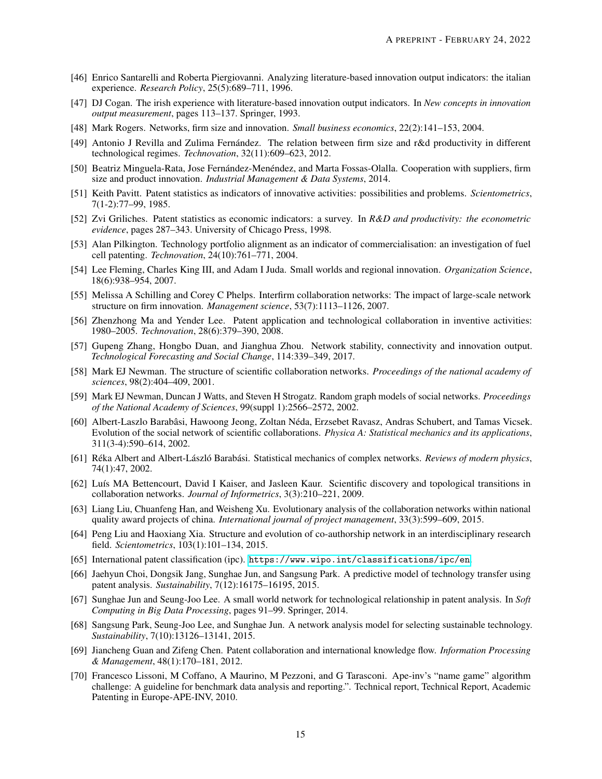- [46] Enrico Santarelli and Roberta Piergiovanni. Analyzing literature-based innovation output indicators: the italian experience. *Research Policy*, 25(5):689–711, 1996.
- <span id="page-14-0"></span>[47] DJ Cogan. The irish experience with literature-based innovation output indicators. In *New concepts in innovation output measurement*, pages 113–137. Springer, 1993.
- <span id="page-14-1"></span>[48] Mark Rogers. Networks, firm size and innovation. *Small business economics*, 22(2):141–153, 2004.
- <span id="page-14-2"></span>[49] Antonio J Revilla and Zulima Fernández. The relation between firm size and r&d productivity in different technological regimes. *Technovation*, 32(11):609–623, 2012.
- <span id="page-14-3"></span>[50] Beatriz Minguela-Rata, Jose Fernández-Menéndez, and Marta Fossas-Olalla. Cooperation with suppliers, firm size and product innovation. *Industrial Management & Data Systems*, 2014.
- <span id="page-14-4"></span>[51] Keith Pavitt. Patent statistics as indicators of innovative activities: possibilities and problems. *Scientometrics*, 7(1-2):77–99, 1985.
- <span id="page-14-5"></span>[52] Zvi Griliches. Patent statistics as economic indicators: a survey. In *R&D and productivity: the econometric evidence*, pages 287–343. University of Chicago Press, 1998.
- <span id="page-14-6"></span>[53] Alan Pilkington. Technology portfolio alignment as an indicator of commercialisation: an investigation of fuel cell patenting. *Technovation*, 24(10):761–771, 2004.
- <span id="page-14-10"></span>[54] Lee Fleming, Charles King III, and Adam I Juda. Small worlds and regional innovation. *Organization Science*, 18(6):938–954, 2007.
- <span id="page-14-11"></span>[55] Melissa A Schilling and Corey C Phelps. Interfirm collaboration networks: The impact of large-scale network structure on firm innovation. *Management science*, 53(7):1113–1126, 2007.
- <span id="page-14-17"></span>[56] Zhenzhong Ma and Yender Lee. Patent application and technological collaboration in inventive activities: 1980–2005. *Technovation*, 28(6):379–390, 2008.
- <span id="page-14-7"></span>[57] Gupeng Zhang, Hongbo Duan, and Jianghua Zhou. Network stability, connectivity and innovation output. *Technological Forecasting and Social Change*, 114:339–349, 2017.
- <span id="page-14-8"></span>[58] Mark EJ Newman. The structure of scientific collaboration networks. *Proceedings of the national academy of sciences*, 98(2):404–409, 2001.
- [59] Mark EJ Newman, Duncan J Watts, and Steven H Strogatz. Random graph models of social networks. *Proceedings of the National Academy of Sciences*, 99(suppl 1):2566–2572, 2002.
- <span id="page-14-20"></span>[60] Albert-Laszlo Barabâsi, Hawoong Jeong, Zoltan Néda, Erzsebet Ravasz, Andras Schubert, and Tamas Vicsek. Evolution of the social network of scientific collaborations. *Physica A: Statistical mechanics and its applications*, 311(3-4):590–614, 2002.
- <span id="page-14-9"></span>[61] Réka Albert and Albert-László Barabási. Statistical mechanics of complex networks. *Reviews of modern physics*, 74(1):47, 2002.
- <span id="page-14-12"></span>[62] Luís MA Bettencourt, David I Kaiser, and Jasleen Kaur. Scientific discovery and topological transitions in collaboration networks. *Journal of Informetrics*, 3(3):210–221, 2009.
- [63] Liang Liu, Chuanfeng Han, and Weisheng Xu. Evolutionary analysis of the collaboration networks within national quality award projects of china. *International journal of project management*, 33(3):599–609, 2015.
- <span id="page-14-13"></span>[64] Peng Liu and Haoxiang Xia. Structure and evolution of co-authorship network in an interdisciplinary research field. *Scientometrics*, 103(1):101–134, 2015.
- <span id="page-14-14"></span>[65] International patent classification (ipc). <https://www.wipo.int/classifications/ipc/en>.
- <span id="page-14-15"></span>[66] Jaehyun Choi, Dongsik Jang, Sunghae Jun, and Sangsung Park. A predictive model of technology transfer using patent analysis. *Sustainability*, 7(12):16175–16195, 2015.
- [67] Sunghae Jun and Seung-Joo Lee. A small world network for technological relationship in patent analysis. In *Soft Computing in Big Data Processing*, pages 91–99. Springer, 2014.
- <span id="page-14-16"></span>[68] Sangsung Park, Seung-Joo Lee, and Sunghae Jun. A network analysis model for selecting sustainable technology. *Sustainability*, 7(10):13126–13141, 2015.
- <span id="page-14-18"></span>[69] Jiancheng Guan and Zifeng Chen. Patent collaboration and international knowledge flow. *Information Processing & Management*, 48(1):170–181, 2012.
- <span id="page-14-19"></span>[70] Francesco Lissoni, M Coffano, A Maurino, M Pezzoni, and G Tarasconi. Ape-inv's "name game" algorithm challenge: A guideline for benchmark data analysis and reporting.". Technical report, Technical Report, Academic Patenting in Europe-APE-INV, 2010.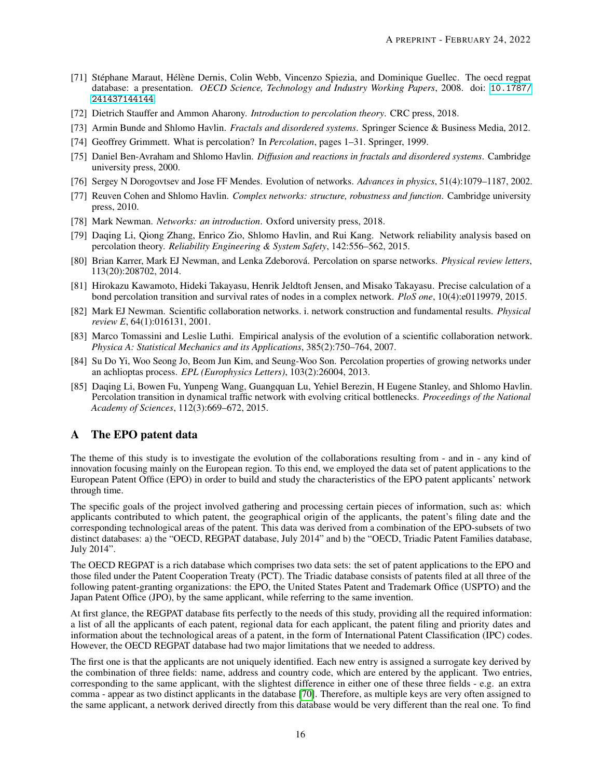- <span id="page-15-1"></span>[71] Stéphane Maraut, Hélène Dernis, Colin Webb, Vincenzo Spiezia, and Dominique Guellec. The oecd regpat database: a presentation. *OECD Science, Technology and Industry Working Papers*, 2008. doi: [10.1787/](10.1787/241437144144) [241437144144](10.1787/241437144144).
- <span id="page-15-2"></span>[72] Dietrich Stauffer and Ammon Aharony. *Introduction to percolation theory*. CRC press, 2018.
- <span id="page-15-6"></span>[73] Armin Bunde and Shlomo Havlin. *Fractals and disordered systems*. Springer Science & Business Media, 2012.
- [74] Geoffrey Grimmett. What is percolation? In *Percolation*, pages 1–31. Springer, 1999.
- <span id="page-15-3"></span>[75] Daniel Ben-Avraham and Shlomo Havlin. *Diffusion and reactions in fractals and disordered systems*. Cambridge university press, 2000.
- <span id="page-15-4"></span>[76] Sergey N Dorogovtsev and Jose FF Mendes. Evolution of networks. *Advances in physics*, 51(4):1079–1187, 2002.
- [77] Reuven Cohen and Shlomo Havlin. *Complex networks: structure, robustness and function*. Cambridge university press, 2010.
- <span id="page-15-5"></span>[78] Mark Newman. *Networks: an introduction*. Oxford university press, 2018.
- <span id="page-15-7"></span>[79] Daqing Li, Qiong Zhang, Enrico Zio, Shlomo Havlin, and Rui Kang. Network reliability analysis based on percolation theory. *Reliability Engineering & System Safety*, 142:556–562, 2015.
- [80] Brian Karrer, Mark EJ Newman, and Lenka Zdeborová. Percolation on sparse networks. *Physical review letters*, 113(20):208702, 2014.
- <span id="page-15-8"></span>[81] Hirokazu Kawamoto, Hideki Takayasu, Henrik Jeldtoft Jensen, and Misako Takayasu. Precise calculation of a bond percolation transition and survival rates of nodes in a complex network. *PloS one*, 10(4):e0119979, 2015.
- <span id="page-15-9"></span>[82] Mark EJ Newman. Scientific collaboration networks. i. network construction and fundamental results. *Physical review E*, 64(1):016131, 2001.
- <span id="page-15-10"></span>[83] Marco Tomassini and Leslie Luthi. Empirical analysis of the evolution of a scientific collaboration network. *Physica A: Statistical Mechanics and its Applications*, 385(2):750–764, 2007.
- <span id="page-15-11"></span>[84] Su Do Yi, Woo Seong Jo, Beom Jun Kim, and Seung-Woo Son. Percolation properties of growing networks under an achlioptas process. *EPL (Europhysics Letters)*, 103(2):26004, 2013.
- <span id="page-15-12"></span>[85] Daqing Li, Bowen Fu, Yunpeng Wang, Guangquan Lu, Yehiel Berezin, H Eugene Stanley, and Shlomo Havlin. Percolation transition in dynamical traffic network with evolving critical bottlenecks. *Proceedings of the National Academy of Sciences*, 112(3):669–672, 2015.

# <span id="page-15-0"></span>A The EPO patent data

The theme of this study is to investigate the evolution of the collaborations resulting from - and in - any kind of innovation focusing mainly on the European region. To this end, we employed the data set of patent applications to the European Patent Office (EPO) in order to build and study the characteristics of the EPO patent applicants' network through time.

The specific goals of the project involved gathering and processing certain pieces of information, such as: which applicants contributed to which patent, the geographical origin of the applicants, the patent's filing date and the corresponding technological areas of the patent. This data was derived from a combination of the EPO-subsets of two distinct databases: a) the "OECD, REGPAT database, July 2014" and b) the "OECD, Triadic Patent Families database, July 2014".

The OECD REGPAT is a rich database which comprises two data sets: the set of patent applications to the EPO and those filed under the Patent Cooperation Treaty (PCT). The Triadic database consists of patents filed at all three of the following patent-granting organizations: the EPO, the United States Patent and Trademark Office (USPTO) and the Japan Patent Office (JPO), by the same applicant, while referring to the same invention.

At first glance, the REGPAT database fits perfectly to the needs of this study, providing all the required information: a list of all the applicants of each patent, regional data for each applicant, the patent filing and priority dates and information about the technological areas of a patent, in the form of International Patent Classification (IPC) codes. However, the OECD REGPAT database had two major limitations that we needed to address.

The first one is that the applicants are not uniquely identified. Each new entry is assigned a surrogate key derived by the combination of three fields: name, address and country code, which are entered by the applicant. Two entries, corresponding to the same applicant, with the slightest difference in either one of these three fields - e.g. an extra comma - appear as two distinct applicants in the database [\[70\]](#page-14-19). Therefore, as multiple keys are very often assigned to the same applicant, a network derived directly from this database would be very different than the real one. To find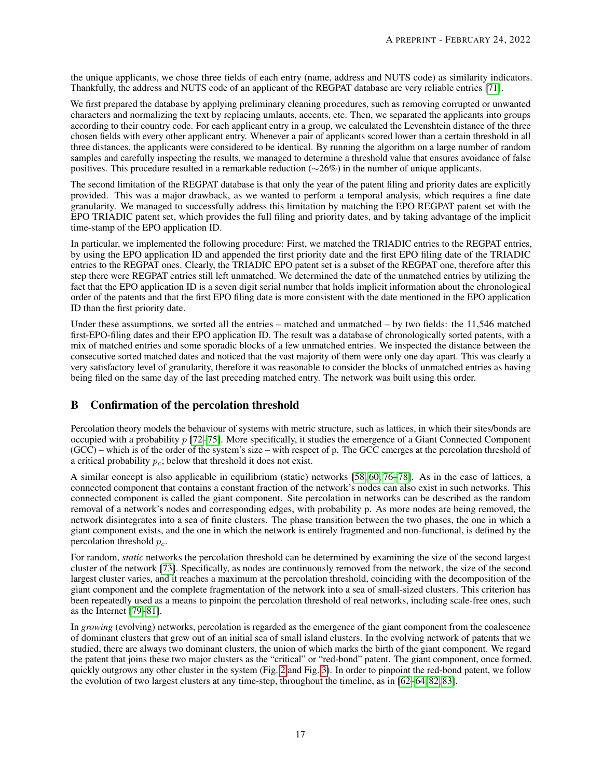the unique applicants, we chose three fields of each entry (name, address and NUTS code) as similarity indicators. Thankfully, the address and NUTS code of an applicant of the REGPAT database are very reliable entries [\[71\]](#page-15-1).

We first prepared the database by applying preliminary cleaning procedures, such as removing corrupted or unwanted characters and normalizing the text by replacing umlauts, accents, etc. Then, we separated the applicants into groups according to their country code. For each applicant entry in a group, we calculated the Levenshtein distance of the three chosen fields with every other applicant entry. Whenever a pair of applicants scored lower than a certain threshold in all three distances, the applicants were considered to be identical. By running the algorithm on a large number of random samples and carefully inspecting the results, we managed to determine a threshold value that ensures avoidance of false positives. This procedure resulted in a remarkable reduction (∼26%) in the number of unique applicants.

The second limitation of the REGPAT database is that only the year of the patent filing and priority dates are explicitly provided. This was a major drawback, as we wanted to perform a temporal analysis, which requires a fine date granularity. We managed to successfully address this limitation by matching the EPO REGPAT patent set with the EPO TRIADIC patent set, which provides the full filing and priority dates, and by taking advantage of the implicit time-stamp of the EPO application ID.

In particular, we implemented the following procedure: First, we matched the TRIADIC entries to the REGPAT entries, by using the EPO application ID and appended the first priority date and the first EPO filing date of the TRIADIC entries to the REGPAT ones. Clearly, the TRIADIC EPO patent set is a subset of the REGPAT one, therefore after this step there were REGPAT entries still left unmatched. We determined the date of the unmatched entries by utilizing the fact that the EPO application ID is a seven digit serial number that holds implicit information about the chronological order of the patents and that the first EPO filing date is more consistent with the date mentioned in the EPO application ID than the first priority date.

Under these assumptions, we sorted all the entries – matched and unmatched – by two fields: the 11,546 matched first-EPO-filing dates and their EPO application ID. The result was a database of chronologically sorted patents, with a mix of matched entries and some sporadic blocks of a few unmatched entries. We inspected the distance between the consecutive sorted matched dates and noticed that the vast majority of them were only one day apart. This was clearly a very satisfactory level of granularity, therefore it was reasonable to consider the blocks of unmatched entries as having being filed on the same day of the last preceding matched entry. The network was built using this order.

# <span id="page-16-0"></span>B Confirmation of the percolation threshold

Percolation theory models the behaviour of systems with metric structure, such as lattices, in which their sites/bonds are occupied with a probability  $p$  [\[72](#page-15-2)[–75\]](#page-15-3). More specifically, it studies the emergence of a Giant Connected Component  $(GCC)$  – which is of the order of the system's size – with respect of p. The GCC emerges at the percolation threshold of a critical probability  $p_c$ ; below that threshold it does not exist.

A similar concept is also applicable in equilibrium (static) networks [\[58,](#page-14-8) [60,](#page-14-20) [76](#page-15-4)[–78\]](#page-15-5). As in the case of lattices, a connected component that contains a constant fraction of the network's nodes can also exist in such networks. This connected component is called the giant component. Site percolation in networks can be described as the random removal of a network's nodes and corresponding edges, with probability p. As more nodes are being removed, the network disintegrates into a sea of finite clusters. The phase transition between the two phases, the one in which a giant component exists, and the one in which the network is entirely fragmented and non-functional, is defined by the percolation threshold  $p_c$ .

For random, *static* networks the percolation threshold can be determined by examining the size of the second largest cluster of the network [\[73\]](#page-15-6). Specifically, as nodes are continuously removed from the network, the size of the second largest cluster varies, and it reaches a maximum at the percolation threshold, coinciding with the decomposition of the giant component and the complete fragmentation of the network into a sea of small-sized clusters. This criterion has been repeatedly used as a means to pinpoint the percolation threshold of real networks, including scale-free ones, such as the Internet [\[79](#page-15-7)[–81\]](#page-15-8).

In *growing* (evolving) networks, percolation is regarded as the emergence of the giant component from the coalescence of dominant clusters that grew out of an initial sea of small island clusters. In the evolving network of patents that we studied, there are always two dominant clusters, the union of which marks the birth of the giant component. We regard the patent that joins these two major clusters as the "critical" or "red-bond" patent. The giant component, once formed, quickly outgrows any other cluster in the system (Fig. [2](#page-3-0) and Fig. [3\)](#page-3-0). In order to pinpoint the red-bond patent, we follow the evolution of two largest clusters at any time-step, throughout the timeline, as in [\[62–](#page-14-12)[64,](#page-14-13) [82,](#page-15-9) [83\]](#page-15-10).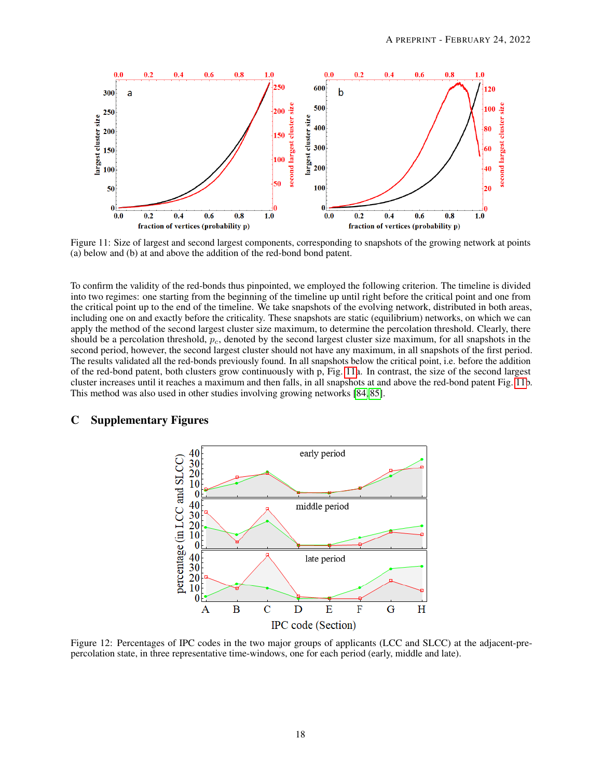<span id="page-17-2"></span>

Figure 11: Size of largest and second largest components, corresponding to snapshots of the growing network at points (a) below and (b) at and above the addition of the red-bond bond patent.

To confirm the validity of the red-bonds thus pinpointed, we employed the following criterion. The timeline is divided into two regimes: one starting from the beginning of the timeline up until right before the critical point and one from the critical point up to the end of the timeline. We take snapshots of the evolving network, distributed in both areas, including one on and exactly before the criticality. These snapshots are static (equilibrium) networks, on which we can apply the method of the second largest cluster size maximum, to determine the percolation threshold. Clearly, there should be a percolation threshold,  $p_c$ , denoted by the second largest cluster size maximum, for all snapshots in the second period, however, the second largest cluster should not have any maximum, in all snapshots of the first period. The results validated all the red-bonds previously found. In all snapshots below the critical point, i.e. before the addition of the red-bond patent, both clusters grow continuously with p, Fig. [11a](#page-17-2). In contrast, the size of the second largest cluster increases until it reaches a maximum and then falls, in all snapshots at and above the red-bond patent Fig. [11b](#page-17-2). This method was also used in other studies involving growing networks [\[84,](#page-15-11) [85\]](#page-15-12).

#### <span id="page-17-1"></span><span id="page-17-0"></span>C Supplementary Figures



Figure 12: Percentages of IPC codes in the two major groups of applicants (LCC and SLCC) at the adjacent-prepercolation state, in three representative time-windows, one for each period (early, middle and late).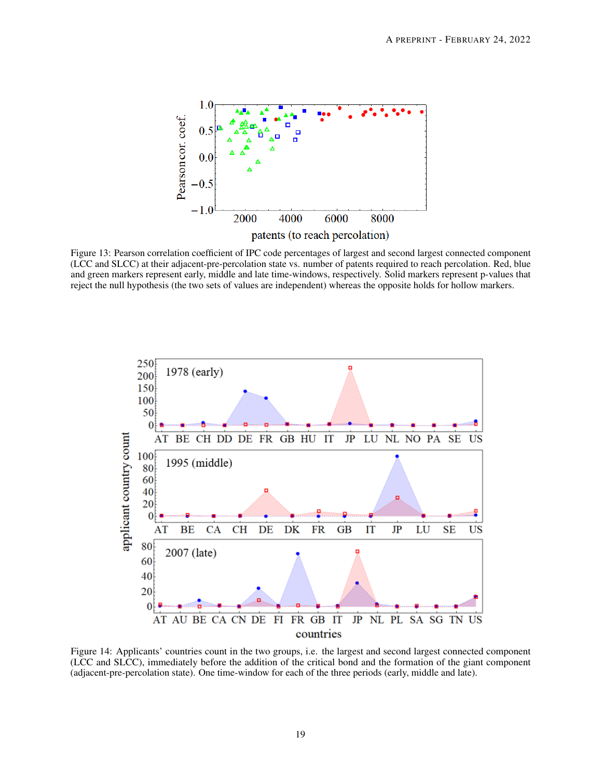<span id="page-18-0"></span>

Figure 13: Pearson correlation coefficient of IPC code percentages of largest and second largest connected component (LCC and SLCC) at their adjacent-pre-percolation state vs. number of patents required to reach percolation. Red, blue and green markers represent early, middle and late time-windows, respectively. Solid markers represent p-values that reject the null hypothesis (the two sets of values are independent) whereas the opposite holds for hollow markers.

<span id="page-18-1"></span>

Figure 14: Applicants' countries count in the two groups, i.e. the largest and second largest connected component (LCC and SLCC), immediately before the addition of the critical bond and the formation of the giant component (adjacent-pre-percolation state). One time-window for each of the three periods (early, middle and late).